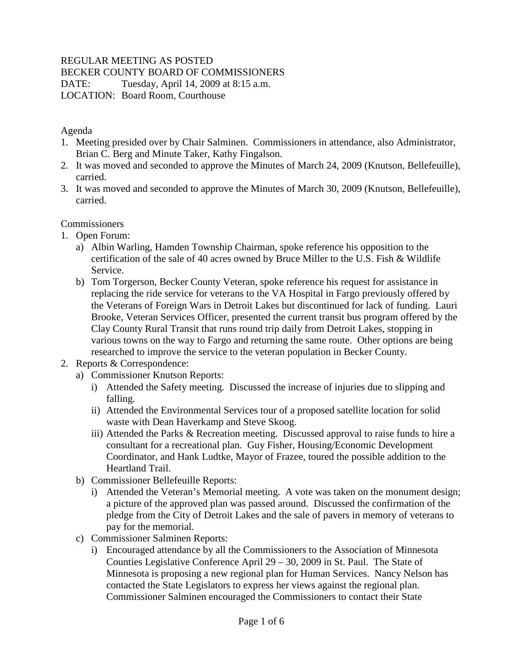# REGULAR MEETING AS POSTED

#### BECKER COUNTY BOARD OF COMMISSIONERS

DATE: Tuesday, April 14, 2009 at 8:15 a.m. LOCATION: Board Room, Courthouse

#### Agenda

- 1. Meeting presided over by Chair Salminen. Commissioners in attendance, also Administrator, Brian C. Berg and Minute Taker, Kathy Fingalson.
- 2. It was moved and seconded to approve the Minutes of March 24, 2009 (Knutson, Bellefeuille), carried.
- 3. It was moved and seconded to approve the Minutes of March 30, 2009 (Knutson, Bellefeuille), carried.

# Commissioners

- 1. Open Forum:
	- a) Albin Warling, Hamden Township Chairman, spoke reference his opposition to the certification of the sale of 40 acres owned by Bruce Miller to the U.S. Fish & Wildlife Service.
	- b) Tom Torgerson, Becker County Veteran, spoke reference his request for assistance in replacing the ride service for veterans to the VA Hospital in Fargo previously offered by the Veterans of Foreign Wars in Detroit Lakes but discontinued for lack of funding. Lauri Brooke, Veteran Services Officer, presented the current transit bus program offered by the Clay County Rural Transit that runs round trip daily from Detroit Lakes, stopping in various towns on the way to Fargo and returning the same route. Other options are being researched to improve the service to the veteran population in Becker County.

# 2. Reports & Correspondence:

- a) Commissioner Knutson Reports:
	- i) Attended the Safety meeting. Discussed the increase of injuries due to slipping and falling.
	- ii) Attended the Environmental Services tour of a proposed satellite location for solid waste with Dean Haverkamp and Steve Skoog.
	- iii) Attended the Parks & Recreation meeting. Discussed approval to raise funds to hire a consultant for a recreational plan. Guy Fisher, Housing/Economic Development Coordinator, and Hank Ludtke, Mayor of Frazee, toured the possible addition to the Heartland Trail.
- b) Commissioner Bellefeuille Reports:
	- i) Attended the Veteran's Memorial meeting. A vote was taken on the monument design; a picture of the approved plan was passed around. Discussed the confirmation of the pledge from the City of Detroit Lakes and the sale of pavers in memory of veterans to pay for the memorial.
- c) Commissioner Salminen Reports:
	- i) Encouraged attendance by all the Commissioners to the Association of Minnesota Counties Legislative Conference April 29 – 30, 2009 in St. Paul. The State of Minnesota is proposing a new regional plan for Human Services. Nancy Nelson has contacted the State Legislators to express her views against the regional plan. Commissioner Salminen encouraged the Commissioners to contact their State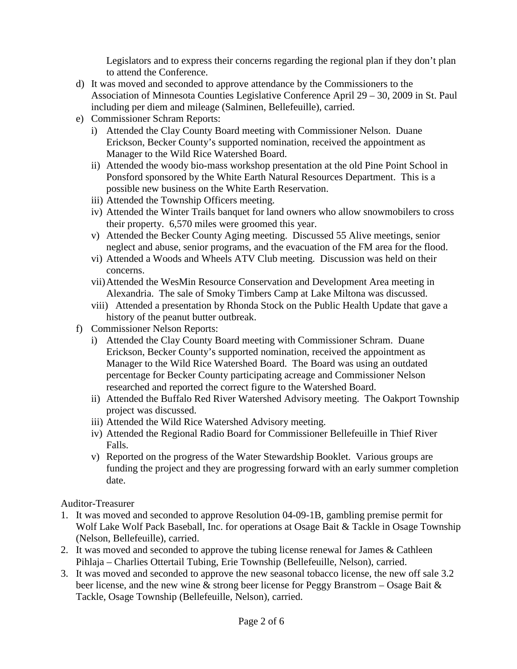Legislators and to express their concerns regarding the regional plan if they don't plan to attend the Conference.

- d) It was moved and seconded to approve attendance by the Commissioners to the Association of Minnesota Counties Legislative Conference April 29 – 30, 2009 in St. Paul including per diem and mileage (Salminen, Bellefeuille), carried.
- e) Commissioner Schram Reports:
	- i) Attended the Clay County Board meeting with Commissioner Nelson. Duane Erickson, Becker County's supported nomination, received the appointment as Manager to the Wild Rice Watershed Board.
	- ii) Attended the woody bio-mass workshop presentation at the old Pine Point School in Ponsford sponsored by the White Earth Natural Resources Department. This is a possible new business on the White Earth Reservation.
	- iii) Attended the Township Officers meeting.
	- iv) Attended the Winter Trails banquet for land owners who allow snowmobilers to cross their property. 6,570 miles were groomed this year.
	- v) Attended the Becker County Aging meeting. Discussed 55 Alive meetings, senior neglect and abuse, senior programs, and the evacuation of the FM area for the flood.
	- vi) Attended a Woods and Wheels ATV Club meeting. Discussion was held on their concerns.
	- vii)Attended the WesMin Resource Conservation and Development Area meeting in Alexandria. The sale of Smoky Timbers Camp at Lake Miltona was discussed.
	- viii) Attended a presentation by Rhonda Stock on the Public Health Update that gave a history of the peanut butter outbreak.
- f) Commissioner Nelson Reports:
	- i) Attended the Clay County Board meeting with Commissioner Schram. Duane Erickson, Becker County's supported nomination, received the appointment as Manager to the Wild Rice Watershed Board. The Board was using an outdated percentage for Becker County participating acreage and Commissioner Nelson researched and reported the correct figure to the Watershed Board.
	- ii) Attended the Buffalo Red River Watershed Advisory meeting. The Oakport Township project was discussed.
	- iii) Attended the Wild Rice Watershed Advisory meeting.
	- iv) Attended the Regional Radio Board for Commissioner Bellefeuille in Thief River Falls.
	- v) Reported on the progress of the Water Stewardship Booklet. Various groups are funding the project and they are progressing forward with an early summer completion date.

Auditor-Treasurer

- 1. It was moved and seconded to approve Resolution 04-09-1B, gambling premise permit for Wolf Lake Wolf Pack Baseball, Inc. for operations at Osage Bait & Tackle in Osage Township (Nelson, Bellefeuille), carried.
- 2. It was moved and seconded to approve the tubing license renewal for James & Cathleen Pihlaja – Charlies Ottertail Tubing, Erie Township (Bellefeuille, Nelson), carried.
- 3. It was moved and seconded to approve the new seasonal tobacco license, the new off sale 3.2 beer license, and the new wine  $\&$  strong beer license for Peggy Branstrom – Osage Bait  $\&$ Tackle, Osage Township (Bellefeuille, Nelson), carried.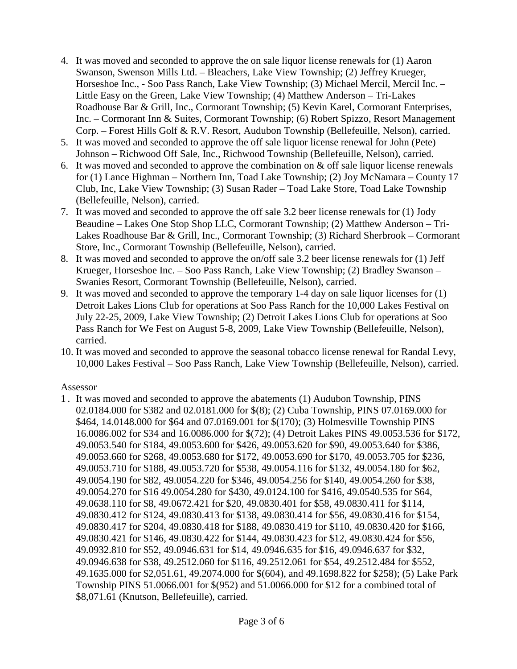- 4. It was moved and seconded to approve the on sale liquor license renewals for (1) Aaron Swanson, Swenson Mills Ltd. – Bleachers, Lake View Township; (2) Jeffrey Krueger, Horseshoe Inc., - Soo Pass Ranch, Lake View Township; (3) Michael Mercil, Mercil Inc. – Little Easy on the Green, Lake View Township; (4) Matthew Anderson – Tri-Lakes Roadhouse Bar & Grill, Inc., Cormorant Township; (5) Kevin Karel, Cormorant Enterprises, Inc. – Cormorant Inn & Suites, Cormorant Township; (6) Robert Spizzo, Resort Management Corp. – Forest Hills Golf & R.V. Resort, Audubon Township (Bellefeuille, Nelson), carried.
- 5. It was moved and seconded to approve the off sale liquor license renewal for John (Pete) Johnson – Richwood Off Sale, Inc., Richwood Township (Bellefeuille, Nelson), carried.
- 6. It was moved and seconded to approve the combination on & off sale liquor license renewals for (1) Lance Highman – Northern Inn, Toad Lake Township; (2) Joy McNamara – County 17 Club, Inc, Lake View Township; (3) Susan Rader – Toad Lake Store, Toad Lake Township (Bellefeuille, Nelson), carried.
- 7. It was moved and seconded to approve the off sale 3.2 beer license renewals for (1) Jody Beaudine – Lakes One Stop Shop LLC, Cormorant Township; (2) Matthew Anderson – Tri-Lakes Roadhouse Bar & Grill, Inc., Cormorant Township; (3) Richard Sherbrook – Cormorant Store, Inc., Cormorant Township (Bellefeuille, Nelson), carried.
- 8. It was moved and seconded to approve the on/off sale 3.2 beer license renewals for (1) Jeff Krueger, Horseshoe Inc. – Soo Pass Ranch, Lake View Township; (2) Bradley Swanson – Swanies Resort, Cormorant Township (Bellefeuille, Nelson), carried.
- 9. It was moved and seconded to approve the temporary 1-4 day on sale liquor licenses for (1) Detroit Lakes Lions Club for operations at Soo Pass Ranch for the 10,000 Lakes Festival on July 22-25, 2009, Lake View Township; (2) Detroit Lakes Lions Club for operations at Soo Pass Ranch for We Fest on August 5-8, 2009, Lake View Township (Bellefeuille, Nelson), carried.
- 10. It was moved and seconded to approve the seasonal tobacco license renewal for Randal Levy, 10,000 Lakes Festival – Soo Pass Ranch, Lake View Township (Bellefeuille, Nelson), carried.

#### Assessor

1 . It was moved and seconded to approve the abatements (1) Audubon Township, PINS 02.0184.000 for \$382 and 02.0181.000 for \$(8); (2) Cuba Township, PINS 07.0169.000 for \$464, 14.0148.000 for \$64 and 07.0169.001 for \$(170); (3) Holmesville Township PINS 16.0086.002 for \$34 and 16.0086.000 for \$(72); (4) Detroit Lakes PINS 49.0053.536 for \$172, 49.0053.540 for \$184, 49.0053.600 for \$426, 49.0053.620 for \$90, 49.0053.640 for \$386, 49.0053.660 for \$268, 49.0053.680 for \$172, 49.0053.690 for \$170, 49.0053.705 for \$236, 49.0053.710 for \$188, 49.0053.720 for \$538, 49.0054.116 for \$132, 49.0054.180 for \$62, 49.0054.190 for \$82, 49.0054.220 for \$346, 49.0054.256 for \$140, 49.0054.260 for \$38, 49.0054.270 for \$16 49.0054.280 for \$430, 49.0124.100 for \$416, 49.0540.535 for \$64, 49.0638.110 for \$8, 49.0672.421 for \$20, 49.0830.401 for \$58, 49.0830.411 for \$114, 49.0830.412 for \$124, 49.0830.413 for \$138, 49.0830.414 for \$56, 49.0830.416 for \$154, 49.0830.417 for \$204, 49.0830.418 for \$188, 49.0830.419 for \$110, 49.0830.420 for \$166, 49.0830.421 for \$146, 49.0830.422 for \$144, 49.0830.423 for \$12, 49.0830.424 for \$56, 49.0932.810 for \$52, 49.0946.631 for \$14, 49.0946.635 for \$16, 49.0946.637 for \$32, 49.0946.638 for \$38, 49.2512.060 for \$116, 49.2512.061 for \$54, 49.2512.484 for \$552, 49.1635.000 for \$2,051.61, 49.2074.000 for \$(604), and 49.1698.822 for \$258); (5) Lake Park Township PINS 51.0066.001 for \$(952) and 51.0066.000 for \$12 for a combined total of \$8,071.61 (Knutson, Bellefeuille), carried.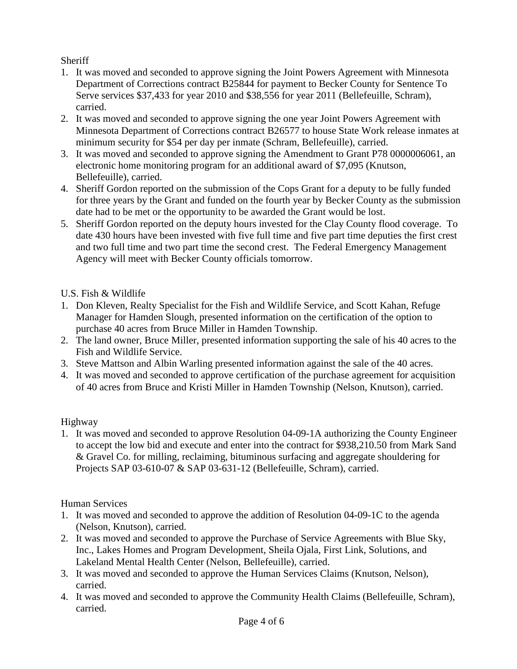# **Sheriff**

- 1. It was moved and seconded to approve signing the Joint Powers Agreement with Minnesota Department of Corrections contract B25844 for payment to Becker County for Sentence To Serve services \$37,433 for year 2010 and \$38,556 for year 2011 (Bellefeuille, Schram), carried.
- 2. It was moved and seconded to approve signing the one year Joint Powers Agreement with Minnesota Department of Corrections contract B26577 to house State Work release inmates at minimum security for \$54 per day per inmate (Schram, Bellefeuille), carried.
- 3. It was moved and seconded to approve signing the Amendment to Grant P78 0000006061, an electronic home monitoring program for an additional award of \$7,095 (Knutson, Bellefeuille), carried.
- 4. Sheriff Gordon reported on the submission of the Cops Grant for a deputy to be fully funded for three years by the Grant and funded on the fourth year by Becker County as the submission date had to be met or the opportunity to be awarded the Grant would be lost.
- 5. Sheriff Gordon reported on the deputy hours invested for the Clay County flood coverage. To date 430 hours have been invested with five full time and five part time deputies the first crest and two full time and two part time the second crest. The Federal Emergency Management Agency will meet with Becker County officials tomorrow.

# U.S. Fish & Wildlife

- 1. Don Kleven, Realty Specialist for the Fish and Wildlife Service, and Scott Kahan, Refuge Manager for Hamden Slough, presented information on the certification of the option to purchase 40 acres from Bruce Miller in Hamden Township.
- 2. The land owner, Bruce Miller, presented information supporting the sale of his 40 acres to the Fish and Wildlife Service.
- 3. Steve Mattson and Albin Warling presented information against the sale of the 40 acres.
- 4. It was moved and seconded to approve certification of the purchase agreement for acquisition of 40 acres from Bruce and Kristi Miller in Hamden Township (Nelson, Knutson), carried.

# Highway

1. It was moved and seconded to approve Resolution 04-09-1A authorizing the County Engineer to accept the low bid and execute and enter into the contract for \$938,210.50 from Mark Sand & Gravel Co. for milling, reclaiming, bituminous surfacing and aggregate shouldering for Projects SAP 03-610-07 & SAP 03-631-12 (Bellefeuille, Schram), carried.

# Human Services

- 1. It was moved and seconded to approve the addition of Resolution 04-09-1C to the agenda (Nelson, Knutson), carried.
- 2. It was moved and seconded to approve the Purchase of Service Agreements with Blue Sky, Inc., Lakes Homes and Program Development, Sheila Ojala, First Link, Solutions, and Lakeland Mental Health Center (Nelson, Bellefeuille), carried.
- 3. It was moved and seconded to approve the Human Services Claims (Knutson, Nelson), carried.
- 4. It was moved and seconded to approve the Community Health Claims (Bellefeuille, Schram), carried.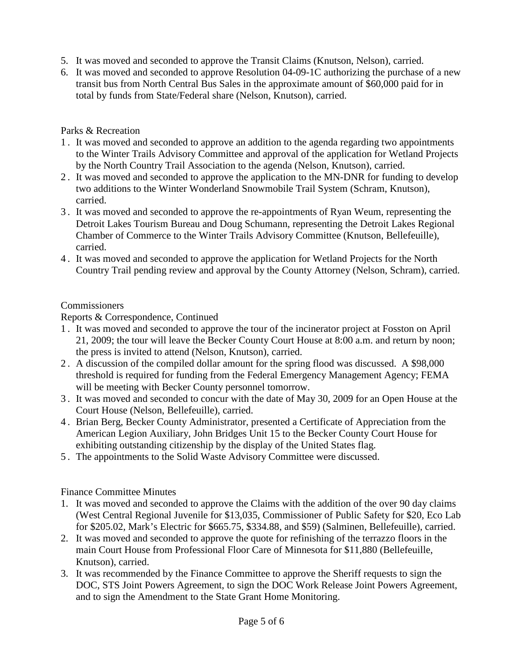- 5. It was moved and seconded to approve the Transit Claims (Knutson, Nelson), carried.
- 6. It was moved and seconded to approve Resolution 04-09-1C authorizing the purchase of a new transit bus from North Central Bus Sales in the approximate amount of \$60,000 paid for in total by funds from State/Federal share (Nelson, Knutson), carried.

#### Parks & Recreation

- 1 . It was moved and seconded to approve an addition to the agenda regarding two appointments to the Winter Trails Advisory Committee and approval of the application for Wetland Projects by the North Country Trail Association to the agenda (Nelson, Knutson), carried.
- 2 . It was moved and seconded to approve the application to the MN-DNR for funding to develop two additions to the Winter Wonderland Snowmobile Trail System (Schram, Knutson), carried.
- 3 . It was moved and seconded to approve the re-appointments of Ryan Weum, representing the Detroit Lakes Tourism Bureau and Doug Schumann, representing the Detroit Lakes Regional Chamber of Commerce to the Winter Trails Advisory Committee (Knutson, Bellefeuille), carried.
- 4 . It was moved and seconded to approve the application for Wetland Projects for the North Country Trail pending review and approval by the County Attorney (Nelson, Schram), carried.

#### **Commissioners**

Reports & Correspondence, Continued

- 1 . It was moved and seconded to approve the tour of the incinerator project at Fosston on April 21, 2009; the tour will leave the Becker County Court House at 8:00 a.m. and return by noon; the press is invited to attend (Nelson, Knutson), carried.
- 2 . A discussion of the compiled dollar amount for the spring flood was discussed. A \$98,000 threshold is required for funding from the Federal Emergency Management Agency; FEMA will be meeting with Becker County personnel tomorrow.
- 3 . It was moved and seconded to concur with the date of May 30, 2009 for an Open House at the Court House (Nelson, Bellefeuille), carried.
- 4 . Brian Berg, Becker County Administrator, presented a Certificate of Appreciation from the American Legion Auxiliary, John Bridges Unit 15 to the Becker County Court House for exhibiting outstanding citizenship by the display of the United States flag.
- 5 . The appointments to the Solid Waste Advisory Committee were discussed.

# Finance Committee Minutes

- 1. It was moved and seconded to approve the Claims with the addition of the over 90 day claims (West Central Regional Juvenile for \$13,035, Commissioner of Public Safety for \$20, Eco Lab for \$205.02, Mark's Electric for \$665.75, \$334.88, and \$59) (Salminen, Bellefeuille), carried.
- 2. It was moved and seconded to approve the quote for refinishing of the terrazzo floors in the main Court House from Professional Floor Care of Minnesota for \$11,880 (Bellefeuille, Knutson), carried.
- 3. It was recommended by the Finance Committee to approve the Sheriff requests to sign the DOC, STS Joint Powers Agreement, to sign the DOC Work Release Joint Powers Agreement, and to sign the Amendment to the State Grant Home Monitoring.